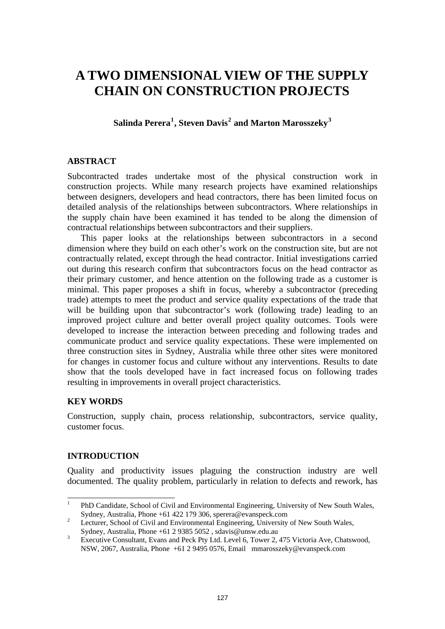# **A TWO DIMENSIONAL VIEW OF THE SUPPLY CHAIN ON CONSTRUCTION PROJECTS**

**Salinda Perera[1](#page-0-0) , Steven Davis[2](#page-0-1) and Marton Marosszeky[3](#page-0-2)**

# **ABSTRACT**

Subcontracted trades undertake most of the physical construction work in construction projects. While many research projects have examined relationships between designers, developers and head contractors, there has been limited focus on detailed analysis of the relationships between subcontractors. Where relationships in the supply chain have been examined it has tended to be along the dimension of contractual relationships between subcontractors and their suppliers.

This paper looks at the relationships between subcontractors in a second dimension where they build on each other's work on the construction site, but are not contractually related, except through the head contractor. Initial investigations carried out during this research confirm that subcontractors focus on the head contractor as their primary customer, and hence attention on the following trade as a customer is minimal. This paper proposes a shift in focus, whereby a subcontractor (preceding trade) attempts to meet the product and service quality expectations of the trade that will be building upon that subcontractor's work (following trade) leading to an improved project culture and better overall project quality outcomes. Tools were developed to increase the interaction between preceding and following trades and communicate product and service quality expectations. These were implemented on three construction sites in Sydney, Australia while three other sites were monitored for changes in customer focus and culture without any interventions. Results to date show that the tools developed have in fact increased focus on following trades resulting in improvements in overall project characteristics.

# **KEY WORDS**

Construction, supply chain, process relationship, subcontractors, service quality, customer focus.

# **INTRODUCTION**

Quality and productivity issues plaguing the construction industry are well documented. The quality problem, particularly in relation to defects and rework, has

<span id="page-0-0"></span><sup>|&</sup>lt;br>|<br>| PhD Candidate, School of Civil and Environmental Engineering, University of New South Wales, Sydney, Australia, Phone +61 422 179 306, sperera@evanspeck.com<br><sup>2</sup> Lecturer, School of Civil and Environmental Engineering University

Lecturer, School of Civil and Environmental Engineering, University of New South Wales,

<span id="page-0-2"></span><span id="page-0-1"></span>Sydney, Australia, Phone +61 2 9385 5052, sdavis@unsw.edu.au  $\frac{3}{2}$  Executive Consultant Evans and Peck Ptv Ltd Level 6. Tower 2. Executive Consultant, Evans and Peck Pty Ltd. Level 6, Tower 2, 475 Victoria Ave, Chatswood, NSW, 2067, Australia, Phone +61 2 9495 0576, Email mmarosszeky@evanspeck.com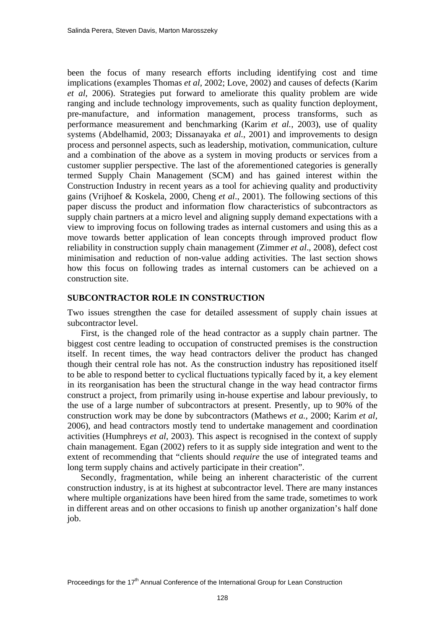been the focus of many research efforts including identifying cost and time implications (examples Thomas *et al,* 2002; Love, 2002) and causes of defects (Karim *et al,* 2006). Strategies put forward to ameliorate this quality problem are wide ranging and include technology improvements, such as quality function deployment, pre-manufacture, and information management, process transforms, such as performance measurement and benchmarking (Karim *et al.,* 2003), use of quality systems (Abdelhamid, 2003; Dissanayaka *et al.*, 2001) and improvements to design process and personnel aspects, such as leadership, motivation, communication, culture and a combination of the above as a system in moving products or services from a customer supplier perspective. The last of the aforementioned categories is generally termed Supply Chain Management (SCM) and has gained interest within the Construction Industry in recent years as a tool for achieving quality and productivity gains (Vrijhoef & Koskela, 2000, Cheng *et al*., 2001). The following sections of this paper discuss the product and information flow characteristics of subcontractors as supply chain partners at a micro level and aligning supply demand expectations with a view to improving focus on following trades as internal customers and using this as a move towards better application of lean concepts through improved product flow reliability in construction supply chain management (Zimmer *et al*., 2008), defect cost minimisation and reduction of non-value adding activities. The last section shows how this focus on following trades as internal customers can be achieved on a construction site.

#### **SUBCONTRACTOR ROLE IN CONSTRUCTION**

Two issues strengthen the case for detailed assessment of supply chain issues at subcontractor level.

First, is the changed role of the head contractor as a supply chain partner. The biggest cost centre leading to occupation of constructed premises is the construction itself. In recent times, the way head contractors deliver the product has changed though their central role has not. As the construction industry has repositioned itself to be able to respond better to cyclical fluctuations typically faced by it, a key element in its reorganisation has been the structural change in the way head contractor firms construct a project, from primarily using in-house expertise and labour previously, to the use of a large number of subcontractors at present. Presently, up to 90% of the construction work may be done by subcontractors (Mathews *et a.,* 2000; Karim *et al,* 2006), and head contractors mostly tend to undertake management and coordination activities (Humphreys *et al*, 2003). This aspect is recognised in the context of supply chain management. Egan (2002) refers to it as supply side integration and went to the extent of recommending that "clients should *require* the use of integrated teams and long term supply chains and actively participate in their creation".

Secondly, fragmentation, while being an inherent characteristic of the current construction industry, is at its highest at subcontractor level. There are many instances where multiple organizations have been hired from the same trade, sometimes to work in different areas and on other occasions to finish up another organization's half done job.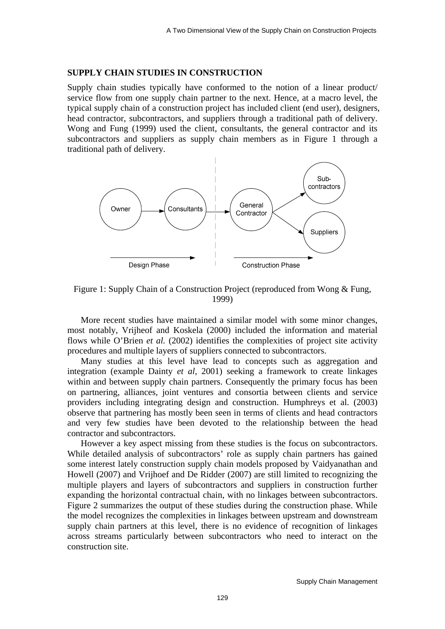## **SUPPLY CHAIN STUDIES IN CONSTRUCTION**

Supply chain studies typically have conformed to the notion of a linear product/ service flow from one supply chain partner to the next. Hence, at a macro level, the typical supply chain of a construction project has included client (end user), designers, head contractor, subcontractors, and suppliers through a traditional path of delivery. Wong and Fung (1999) used the client, consultants, the general contractor and its subcontractors and suppliers as supply chain members as in Figure 1 through a traditional path of delivery.



Figure 1: Supply Chain of a Construction Project (reproduced from Wong & Fung, 1999)

More recent studies have maintained a similar model with some minor changes, most notably, Vrijheof and Koskela (2000) included the information and material flows while O'Brien *et al.* (2002) identifies the complexities of project site activity procedures and multiple layers of suppliers connected to subcontractors.

Many studies at this level have lead to concepts such as aggregation and integration (example Dainty *et al,* 2001) seeking a framework to create linkages within and between supply chain partners. Consequently the primary focus has been on partnering, alliances, joint ventures and consortia between clients and service providers including integrating design and construction. Humphreys et al. (2003) observe that partnering has mostly been seen in terms of clients and head contractors and very few studies have been devoted to the relationship between the head contractor and subcontractors.

However a key aspect missing from these studies is the focus on subcontractors. While detailed analysis of subcontractors' role as supply chain partners has gained some interest lately construction supply chain models proposed by Vaidyanathan and Howell (2007) and Vrijhoef and De Ridder (2007) are still limited to recognizing the multiple players and layers of subcontractors and suppliers in construction further expanding the horizontal contractual chain, with no linkages between subcontractors. Figure 2 summarizes the output of these studies during the construction phase. While the model recognizes the complexities in linkages between upstream and downstream supply chain partners at this level, there is no evidence of recognition of linkages across streams particularly between subcontractors who need to interact on the construction site.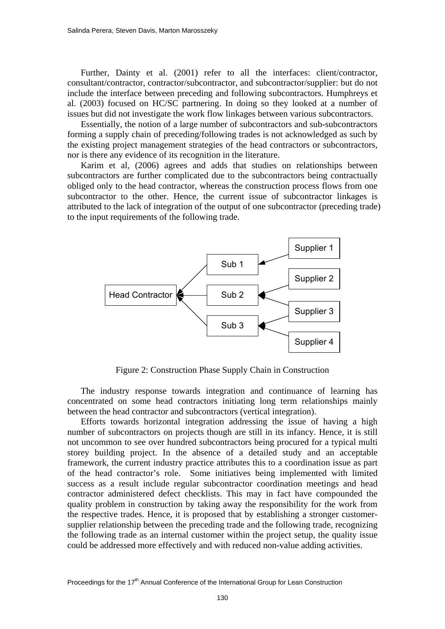Further, Dainty et al. (2001) refer to all the interfaces: client/contractor, consultant/contractor, contractor/subcontractor, and subcontractor/supplier: but do not include the interface between preceding and following subcontractors. Humphreys et al. (2003) focused on HC/SC partnering. In doing so they looked at a number of issues but did not investigate the work flow linkages between various subcontractors.

Essentially, the notion of a large number of subcontractors and sub-subcontractors forming a supply chain of preceding/following trades is not acknowledged as such by the existing project management strategies of the head contractors or subcontractors, nor is there any evidence of its recognition in the literature.

Karim et al, (2006) agrees and adds that studies on relationships between subcontractors are further complicated due to the subcontractors being contractually obliged only to the head contractor, whereas the construction process flows from one subcontractor to the other. Hence, the current issue of subcontractor linkages is attributed to the lack of integration of the output of one subcontractor (preceding trade) to the input requirements of the following trade.



Figure 2: Construction Phase Supply Chain in Construction

The industry response towards integration and continuance of learning has concentrated on some head contractors initiating long term relationships mainly between the head contractor and subcontractors (vertical integration).

Efforts towards horizontal integration addressing the issue of having a high number of subcontractors on projects though are still in its infancy. Hence, it is still not uncommon to see over hundred subcontractors being procured for a typical multi storey building project. In the absence of a detailed study and an acceptable framework, the current industry practice attributes this to a coordination issue as part of the head contractor's role. Some initiatives being implemented with limited success as a result include regular subcontractor coordination meetings and head contractor administered defect checklists. This may in fact have compounded the quality problem in construction by taking away the responsibility for the work from the respective trades. Hence, it is proposed that by establishing a stronger customersupplier relationship between the preceding trade and the following trade, recognizing the following trade as an internal customer within the project setup, the quality issue could be addressed more effectively and with reduced non-value adding activities.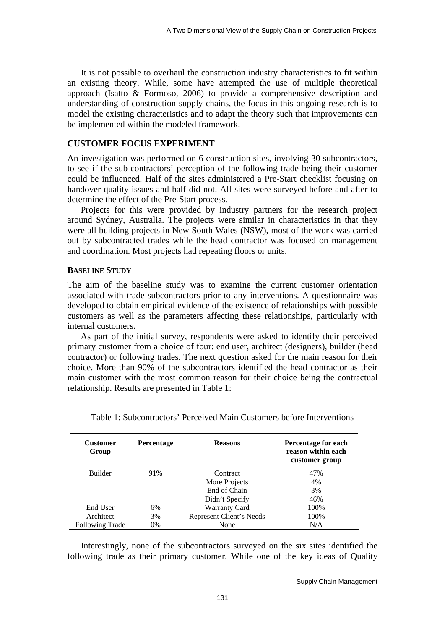It is not possible to overhaul the construction industry characteristics to fit within an existing theory. While, some have attempted the use of multiple theoretical approach (Isatto & Formoso, 2006) to provide a comprehensive description and understanding of construction supply chains, the focus in this ongoing research is to model the existing characteristics and to adapt the theory such that improvements can be implemented within the modeled framework.

# **CUSTOMER FOCUS EXPERIMENT**

An investigation was performed on 6 construction sites, involving 30 subcontractors, to see if the sub-contractors' perception of the following trade being their customer could be influenced. Half of the sites administered a Pre-Start checklist focusing on handover quality issues and half did not. All sites were surveyed before and after to determine the effect of the Pre-Start process.

Projects for this were provided by industry partners for the research project around Sydney, Australia. The projects were similar in characteristics in that they were all building projects in New South Wales (NSW), most of the work was carried out by subcontracted trades while the head contractor was focused on management and coordination. Most projects had repeating floors or units.

#### **BASELINE STUDY**

The aim of the baseline study was to examine the current customer orientation associated with trade subcontractors prior to any interventions. A questionnaire was developed to obtain empirical evidence of the existence of relationships with possible customers as well as the parameters affecting these relationships, particularly with internal customers.

As part of the initial survey, respondents were asked to identify their perceived primary customer from a choice of four: end user, architect (designers), builder (head contractor) or following trades. The next question asked for the main reason for their choice. More than 90% of the subcontractors identified the head contractor as their main customer with the most common reason for their choice being the contractual relationship. Results are presented in Table 1:

| <b>Customer</b><br>Group | <b>Percentage</b> | <b>Reasons</b>           | Percentage for each<br>reason within each<br>customer group |
|--------------------------|-------------------|--------------------------|-------------------------------------------------------------|
| <b>Builder</b>           | 91%               | Contract                 | 47%                                                         |
|                          |                   | More Projects            | 4%                                                          |
|                          |                   | End of Chain             | 3%                                                          |
|                          |                   | Didn't Specify           | 46%                                                         |
| End User                 | 6%                | <b>Warranty Card</b>     | 100%                                                        |
| Architect                | 3%                | Represent Client's Needs | 100%                                                        |
| <b>Following Trade</b>   | 0%                | None                     | N/A                                                         |

Table 1: Subcontractors' Perceived Main Customers before Interventions

Interestingly, none of the subcontractors surveyed on the six sites identified the following trade as their primary customer. While one of the key ideas of Quality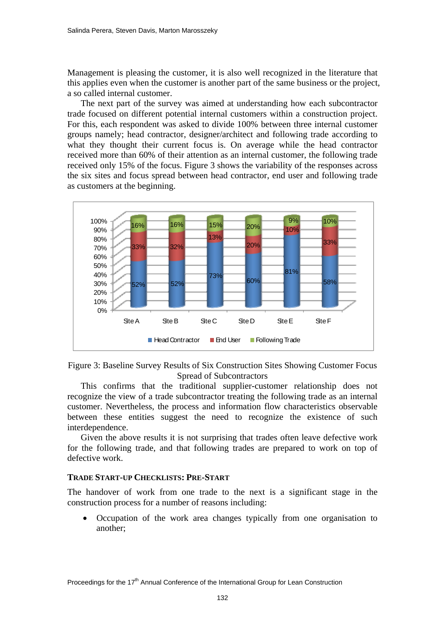Management is pleasing the customer, it is also well recognized in the literature that this applies even when the customer is another part of the same business or the project, a so called internal customer.

The next part of the survey was aimed at understanding how each subcontractor trade focused on different potential internal customers within a construction project. For this, each respondent was asked to divide 100% between three internal customer groups namely; head contractor, designer/architect and following trade according to what they thought their current focus is. On average while the head contractor received more than 60% of their attention as an internal customer, the following trade received only 15% of the focus. Figure 3 shows the variability of the responses across the six sites and focus spread between head contractor, end user and following trade as customers at the beginning.





This confirms that the traditional supplier-customer relationship does not recognize the view of a trade subcontractor treating the following trade as an internal customer. Nevertheless, the process and information flow characteristics observable between these entities suggest the need to recognize the existence of such interdependence.

Given the above results it is not surprising that trades often leave defective work for the following trade, and that following trades are prepared to work on top of defective work.

## **TRADE START-UP CHECKLISTS: PRE-START**

The handover of work from one trade to the next is a significant stage in the construction process for a number of reasons including:

• Occupation of the work area changes typically from one organisation to another;

Proceedings for the  $17<sup>th</sup>$  Annual Conference of the International Group for Lean Construction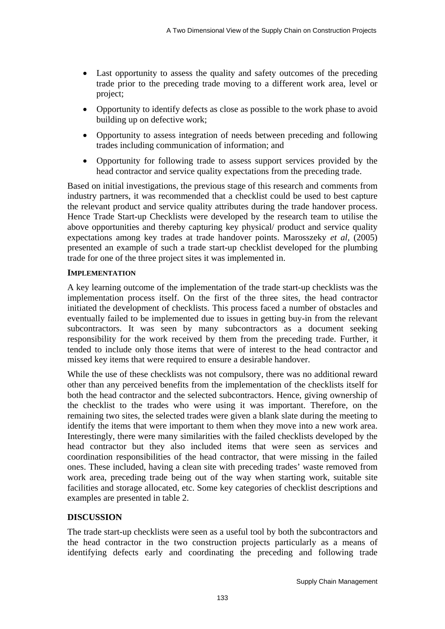- Last opportunity to assess the quality and safety outcomes of the preceding trade prior to the preceding trade moving to a different work area, level or project;
- Opportunity to identify defects as close as possible to the work phase to avoid building up on defective work;
- Opportunity to assess integration of needs between preceding and following trades including communication of information; and
- Opportunity for following trade to assess support services provided by the head contractor and service quality expectations from the preceding trade.

Based on initial investigations, the previous stage of this research and comments from industry partners, it was recommended that a checklist could be used to best capture the relevant product and service quality attributes during the trade handover process. Hence Trade Start-up Checklists were developed by the research team to utilise the above opportunities and thereby capturing key physical/ product and service quality expectations among key trades at trade handover points. Marosszeky *et al,* (2005) presented an example of such a trade start-up checklist developed for the plumbing trade for one of the three project sites it was implemented in.

# **IMPLEMENTATION**

A key learning outcome of the implementation of the trade start-up checklists was the implementation process itself. On the first of the three sites, the head contractor initiated the development of checklists. This process faced a number of obstacles and eventually failed to be implemented due to issues in getting buy-in from the relevant subcontractors. It was seen by many subcontractors as a document seeking responsibility for the work received by them from the preceding trade. Further, it tended to include only those items that were of interest to the head contractor and missed key items that were required to ensure a desirable handover.

While the use of these checklists was not compulsory, there was no additional reward other than any perceived benefits from the implementation of the checklists itself for both the head contractor and the selected subcontractors. Hence, giving ownership of the checklist to the trades who were using it was important. Therefore, on the remaining two sites, the selected trades were given a blank slate during the meeting to identify the items that were important to them when they move into a new work area. Interestingly, there were many similarities with the failed checklists developed by the head contractor but they also included items that were seen as services and coordination responsibilities of the head contractor, that were missing in the failed ones. These included, having a clean site with preceding trades' waste removed from work area, preceding trade being out of the way when starting work, suitable site facilities and storage allocated, etc. Some key categories of checklist descriptions and examples are presented in table 2.

# **DISCUSSION**

The trade start-up checklists were seen as a useful tool by both the subcontractors and the head contractor in the two construction projects particularly as a means of identifying defects early and coordinating the preceding and following trade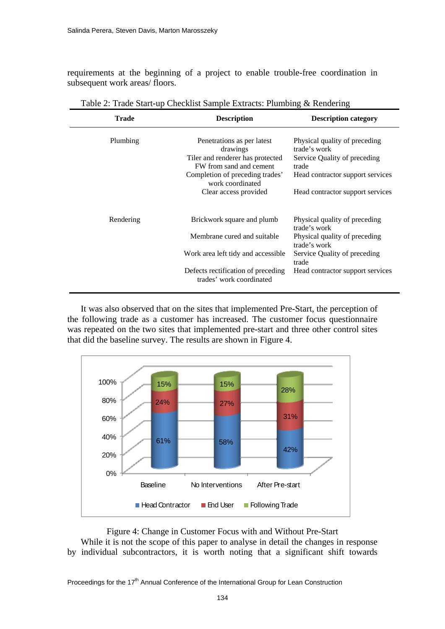requirements at the beginning of a project to enable trouble-free coordination in subsequent work areas/ floors.

| Trade     | <b>Description</b>                                             | <b>Description category</b>                   |
|-----------|----------------------------------------------------------------|-----------------------------------------------|
| Plumbing  | Penetrations as per latest<br>drawings                         | Physical quality of preceding<br>trade's work |
|           | Tiler and renderer has protected<br>FW from sand and cement    | Service Quality of preceding<br>trade         |
|           | Completion of preceding trades'<br>work coordinated            | Head contractor support services              |
|           | Clear access provided                                          | Head contractor support services              |
|           |                                                                |                                               |
| Rendering | Brickwork square and plumb                                     | Physical quality of preceding<br>trade's work |
|           | Membrane cured and suitable                                    | Physical quality of preceding<br>trade's work |
|           | Work area left tidy and accessible                             | Service Quality of preceding<br>trade         |
|           | Defects rectification of preceding<br>trades' work coordinated | Head contractor support services              |

Table 2: Trade Start-up Checklist Sample Extracts: Plumbing & Rendering

It was also observed that on the sites that implemented Pre-Start, the perception of the following trade as a customer has increased. The customer focus questionnaire was repeated on the two sites that implemented pre-start and three other control sites that did the baseline survey. The results are shown in Figure 4.



Figure 4: Change in Customer Focus with and Without Pre-Start

While it is not the scope of this paper to analyse in detail the changes in response by individual subcontractors, it is worth noting that a significant shift towards

Proceedings for the 17<sup>th</sup> Annual Conference of the International Group for Lean Construction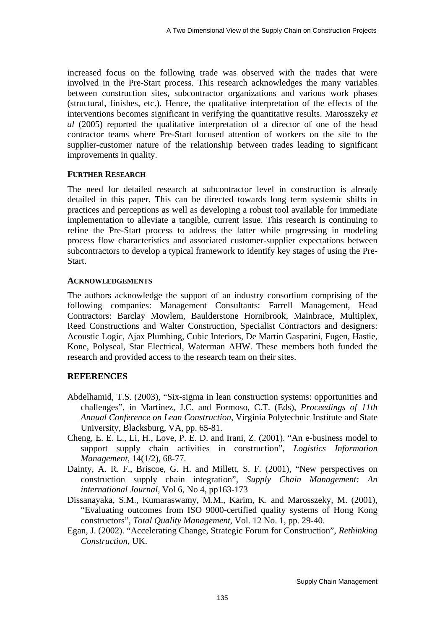increased focus on the following trade was observed with the trades that were involved in the Pre-Start process. This research acknowledges the many variables between construction sites, subcontractor organizations and various work phases (structural, finishes, etc.). Hence, the qualitative interpretation of the effects of the interventions becomes significant in verifying the quantitative results. Marosszeky *et al* (2005) reported the qualitative interpretation of a director of one of the head contractor teams where Pre-Start focused attention of workers on the site to the supplier-customer nature of the relationship between trades leading to significant improvements in quality.

## **FURTHER RESEARCH**

The need for detailed research at subcontractor level in construction is already detailed in this paper. This can be directed towards long term systemic shifts in practices and perceptions as well as developing a robust tool available for immediate implementation to alleviate a tangible, current issue. This research is continuing to refine the Pre-Start process to address the latter while progressing in modeling process flow characteristics and associated customer-supplier expectations between subcontractors to develop a typical framework to identify key stages of using the Pre-Start.

#### **ACKNOWLEDGEMENTS**

The authors acknowledge the support of an industry consortium comprising of the following companies: Management Consultants: Farrell Management, Head Contractors: Barclay Mowlem, Baulderstone Hornibrook, Mainbrace, Multiplex, Reed Constructions and Walter Construction, Specialist Contractors and designers: Acoustic Logic, Ajax Plumbing, Cubic Interiors, De Martin Gasparini, Fugen, Hastie, Kone, Polyseal, Star Electrical, Waterman AHW. These members both funded the research and provided access to the research team on their sites.

# **REFERENCES**

- Abdelhamid, T.S. (2003), "Six-sigma in lean construction systems: opportunities and challenges", in Martinez, J.C. and Formoso, C.T. (Eds), *Proceedings of 11th Annual Conference on Lean Construction*, Virginia Polytechnic Institute and State University, Blacksburg, VA, pp. 65-81.
- Cheng, E. E. L., Li, H., Love, P. E. D. and Irani, Z. (2001). "An e-business model to support supply chain activities in construction", *Logistics Information Management*, 14(1/2), 68-77.
- Dainty, A. R. F., Briscoe, G. H. and Millett, S. F. (2001), "New perspectives on construction supply chain integration", *Supply Chain Management: An international Journal,* Vol 6, No 4, pp163-173
- Dissanayaka, S.M., Kumaraswamy, M.M., Karim, K. and Marosszeky, M. (2001), "Evaluating outcomes from ISO 9000-certified quality systems of Hong Kong constructors", *Total Quality Management*, Vol. 12 No. 1, pp. 29-40.
- Egan, J. (2002). "Accelerating Change, Strategic Forum for Construction", *Rethinking Construction*, UK.